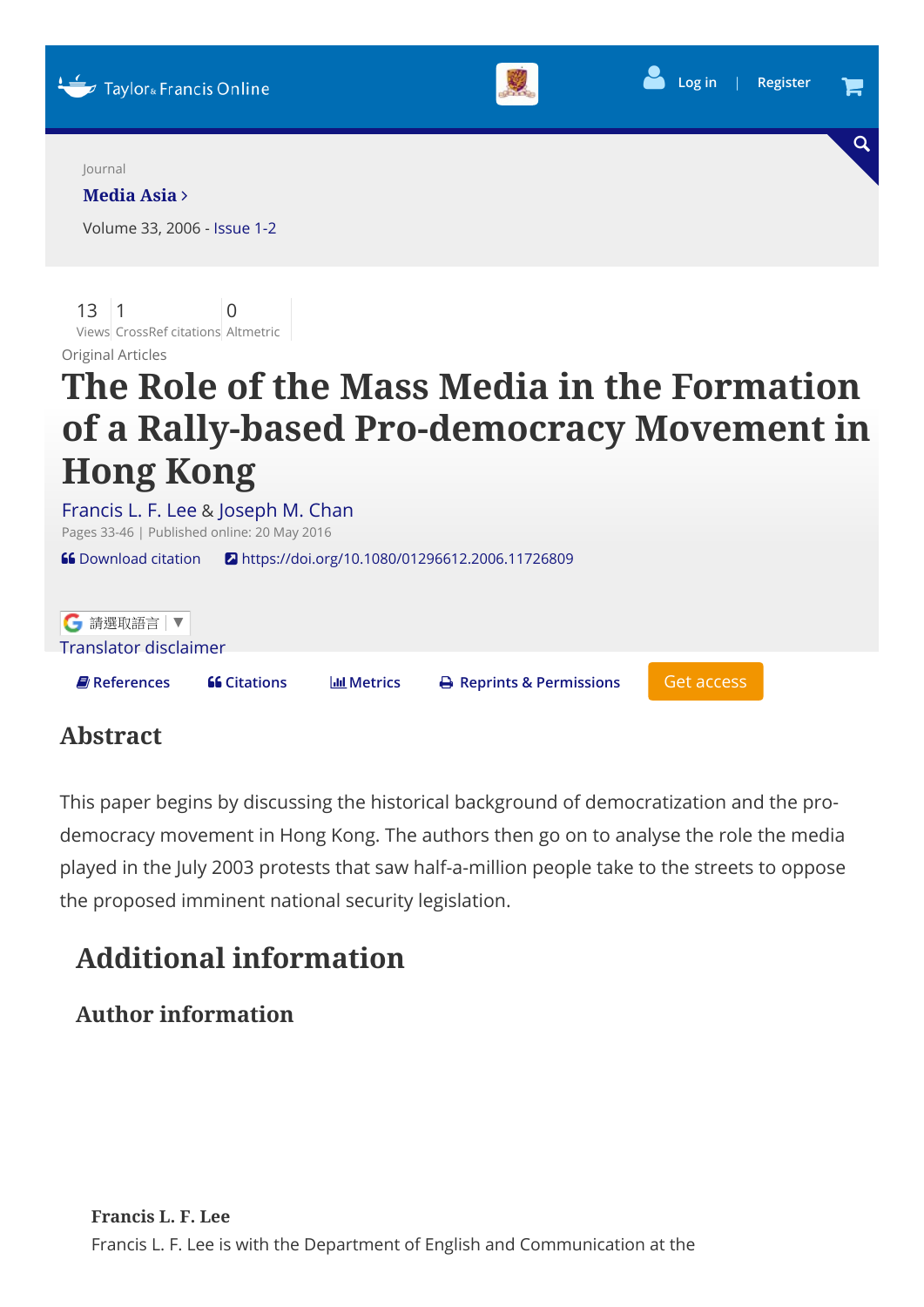

| 6 請選取語言 ▼                 |                     |                     |                                      |            |  |
|---------------------------|---------------------|---------------------|--------------------------------------|------------|--|
| Translator disclaimer     |                     |                     |                                      |            |  |
|                           |                     |                     |                                      |            |  |
| $\blacksquare$ References | <b>66 Citations</b> | <b>IIII</b> Metrics | $\rightarrow$ Reprints & Permissions | Get access |  |
|                           |                     |                     |                                      |            |  |

## Abstract

This paper begins by discussing the historical background of democratization and the prodemocracy movement in Hong Kong. The authors then go on to analyse the role the media played in the July 2003 protests that saw half-a-million people take to the streets to oppose the proposed imminent national security legislation.

# Additional information

## Author information